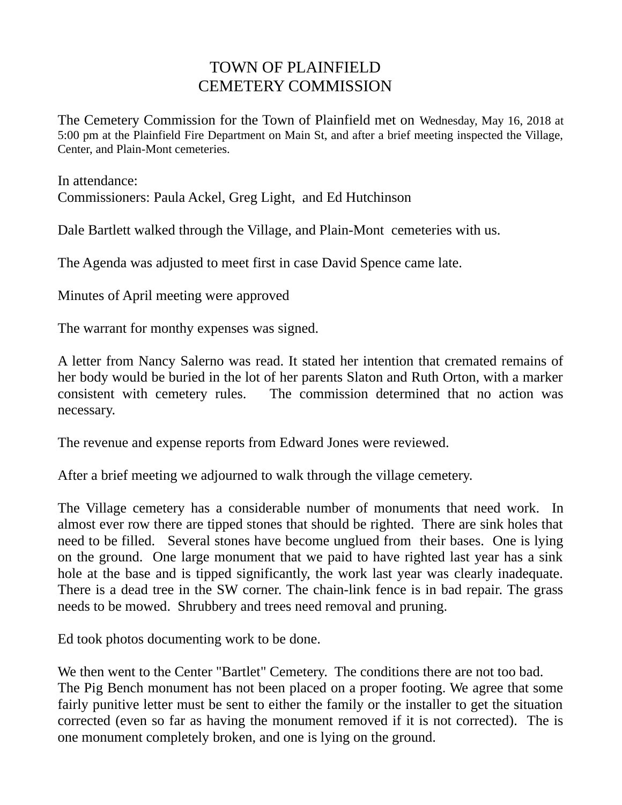## TOWN OF PLAINFIELD CEMETERY COMMISSION

The Cemetery Commission for the Town of Plainfield met on Wednesday, May 16, 2018 at 5:00 pm at the Plainfield Fire Department on Main St, and after a brief meeting inspected the Village, Center, and Plain-Mont cemeteries.

In attendance: Commissioners: Paula Ackel, Greg Light, and Ed Hutchinson

Dale Bartlett walked through the Village, and Plain-Mont cemeteries with us.

The Agenda was adjusted to meet first in case David Spence came late.

Minutes of April meeting were approved

The warrant for monthy expenses was signed.

A letter from Nancy Salerno was read. It stated her intention that cremated remains of her body would be buried in the lot of her parents Slaton and Ruth Orton, with a marker consistent with cemetery rules. The commission determined that no action was necessary.

The revenue and expense reports from Edward Jones were reviewed.

After a brief meeting we adjourned to walk through the village cemetery.

The Village cemetery has a considerable number of monuments that need work. In almost ever row there are tipped stones that should be righted. There are sink holes that need to be filled. Several stones have become unglued from their bases. One is lying on the ground. One large monument that we paid to have righted last year has a sink hole at the base and is tipped significantly, the work last year was clearly inadequate. There is a dead tree in the SW corner. The chain-link fence is in bad repair. The grass needs to be mowed. Shrubbery and trees need removal and pruning.

Ed took photos documenting work to be done.

We then went to the Center "Bartlet" Cemetery. The conditions there are not too bad. The Pig Bench monument has not been placed on a proper footing. We agree that some fairly punitive letter must be sent to either the family or the installer to get the situation corrected (even so far as having the monument removed if it is not corrected). The is one monument completely broken, and one is lying on the ground.